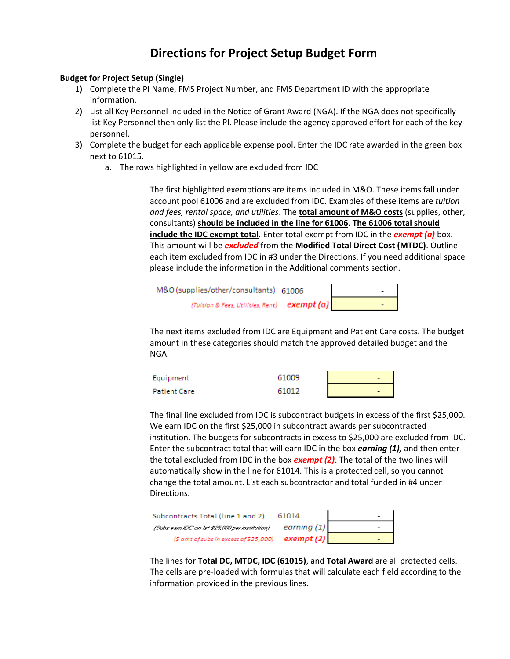## **Directions for Project Setup Budget Form**

## **Budget for Project Setup (Single)**

- 1) Complete the PI Name, FMS Project Number, and FMS Department ID with the appropriate information.
- 2) List all Key Personnel included in the Notice of Grant Award (NGA). If the NGA does not specifically list Key Personnel then only list the PI. Please include the agency approved effort for each of the key personnel.
- 3) Complete the budget for each applicable expense pool. Enter the IDC rate awarded in the green box next to 61015.
	- a. The rows highlighted in yellow are excluded from IDC

The first highlighted exemptions are items included in M&O. These items fall under account pool 61006 and are excluded from IDC. Examples of these items are *tuition and fees, rental space, and utilities*. The **total amount of M&O costs** (supplies, other, consultants) **should be included in the line for 61006**. **The 61006 total should include the IDC exempt total**. Enter total exempt from IDC in the *exempt (a)* box. This amount will be *excluded* from the **Modified Total Direct Cost (MTDC)**. Outline each item excluded from IDC in #3 under the Directions. If you need additional space please include the information in the Additional comments section.

| M&O (supplies/other/consultants) 61006        |  |
|-----------------------------------------------|--|
| (Tuition & Fees, Utilities, Rent) $exempt(a)$ |  |

The next items excluded from IDC are Equipment and Patient Care costs. The budget amount in these categories should match the approved detailed budget and the NGA.

| Equipment    | 61009 |  |
|--------------|-------|--|
| Patient Care | 61012 |  |

The final line excluded from IDC is subcontract budgets in excess of the first \$25,000. We earn IDC on the first \$25,000 in subcontract awards per subcontracted institution. The budgets for subcontracts in excess to \$25,000 are excluded from IDC. Enter the subcontract total that will earn IDC in the box *earning (1),* and then enter the total excluded from IDC in the box *exempt (2)*. The total of the two lines will automatically show in the line for 61014. This is a protected cell, so you cannot change the total amount. List each subcontractor and total funded in #4 under Directions.

| Subcontracts Total (line 1 and 2)               | 61014         |  |
|-------------------------------------------------|---------------|--|
| (Subs earn IDC on Ist \$25,000 per institution) | earning $(1)$ |  |
| (\$ amt of subs in excess of \$25,000)          | exempt (2)    |  |

The lines for **Total DC, MTDC, IDC (61015)**, and **Total Award** are all protected cells. The cells are pre-loaded with formulas that will calculate each field according to the information provided in the previous lines.